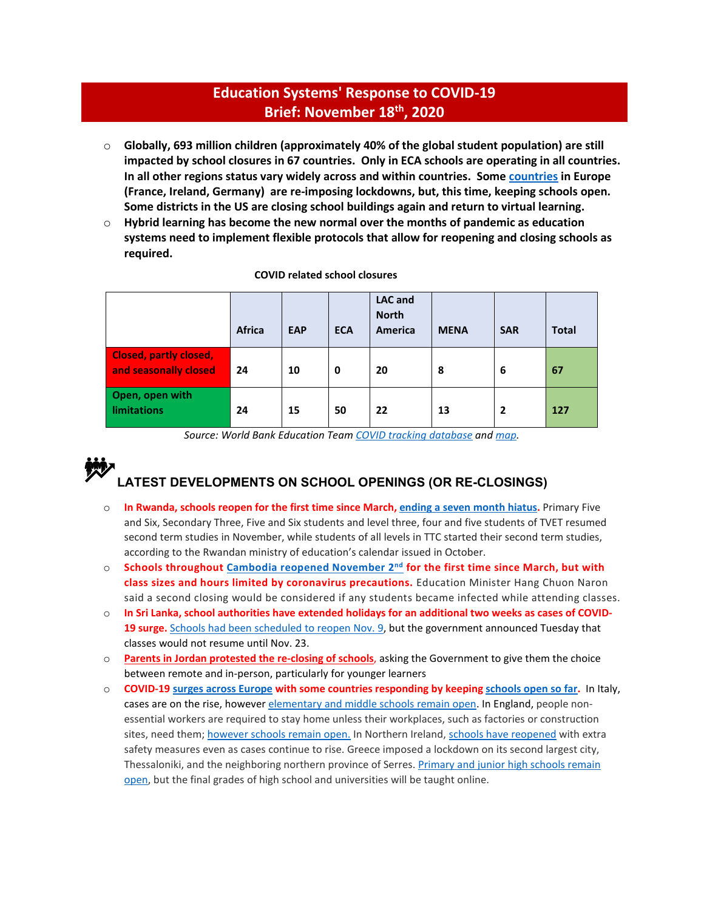# **Education Systems' Response to COVID-19 Brief: November 18th, 2020**

- o **Globally, 693 million children (approximately 40% of the global student population) are still impacted by school closures in 67 countries. Only in ECA schools are operating in all countries. In all other regions status vary widely across and within countries. Some [countries](https://www.nytimes.com/2020/10/29/world/europe/schools-coronavirus-europe-lockdowns.html) in Europe (France, Ireland, Germany) are re-imposing lockdowns, but, this time, keeping schools open. Some districts in the US are closing school buildings again and return to virtual learning.**
- o **Hybrid learning has become the new normal over the months of pandemic as education systems need to implement flexible protocols that allow for reopening and closing schools as required.**

|                                                        | Africa | <b>EAP</b> | <b>ECA</b> | <b>LAC</b> and<br><b>North</b><br>America | <b>MENA</b> | <b>SAR</b>     | <b>Total</b> |
|--------------------------------------------------------|--------|------------|------------|-------------------------------------------|-------------|----------------|--------------|
| <b>Closed, partly closed,</b><br>and seasonally closed | 24     | 10         | 0          | 20                                        | 8           | 6              | 67           |
| Open, open with<br>limitations                         | 24     | 15         | 50         | 22                                        | 13          | $\overline{2}$ | 127          |

#### **COVID related school closures**

*Source: World Bank Education Tea[m COVID tracking database](https://worldbankgroup-my.sharepoint.com/:x:/g/personal/tshmis_worldbank_org/EehfzqvLAm5CkGYQliGgCRQBmZg3meDaj5ZnpU4URJDX-g?e=bg0hMT) and [map.](https://tab.worldbank.org/#/site/WBG/views/covid19/dsh_simple?:showAppBanner=false&:display_count=n&:showVizHome=n&:origin=viz_share_link&:iid=1)* 

# **LATEST DEVELOPMENTS ON SCHOOL OPENINGS (OR RE-CLOSINGS)**

- o **In Rwanda, schools reopen for the first time since March[, ending a seven month hiatus.](https://africa.cgtn.com/2020/11/02/rwandan-schools-partly-reopen-after-7-month-suspension-due-to-covid-19/)** Primary Five and Six, Secondary Three, Five and Six students and level three, four and five students of TVET resumed second term studies in November, while students of all levels in TTC started their second term studies, according to the Rwandan ministry of education's calendar issued in October.
- o **Schools throughout [Cambodia reopened November 2nd](https://wtop.com/asia/2020/11/cambodia-reopens-schools-after-coronavirus-shutdown-in-march/) for the first time since March, but with class sizes and hours limited by coronavirus precautions.** Education Minister Hang Chuon Naron said a second closing would be considered if any students became infected while attending classes.
- o **In Sri Lanka, school authorities have extended holidays for an additional two weeks as cases of COVID-19 surge.** [Schools had been scheduled to reopen Nov. 9,](https://abcnews.go.com/Health/wireStory/latest-indias-coronavirus-cases-continue-daily-decline-73965144) but the government announced Tuesday that classes would not resume until Nov. 23.
- o **[Parents in Jordan protested the re-closing of schools](https://www.zawya.com/mena/en/life/story/Parents_in_Jordan_stage_protests_demanding_reopening_of_schools-SNG_188854903/)**, asking the Government to give them the choice between remote and in-person, particularly for younger learners
- o **COVID-19 [surges across Europe](https://www.wsj.com/articles/covid-19-is-creeping-into-europes-schools-11602581400) with some countries responding by keeping [schools](https://www.nytimes.com/2020/10/29/world/europe/schools-coronavirus-europe-lockdowns.html) open so far.** In Italy, cases are on the rise, howeve[r elementary and middle schools remain open.](https://www.latimes.com/world-nation/story/2020-10-26/italy-closes-gyms-shuts-eateries-early-coronavirus) In England, people nonessential workers are required to stay home unless their workplaces, such as factories or construction sites, need them[; however schools remain open.](https://www.nytimes.com/2020/10/31/world/great-britain-coronavirus-lockdown.html) In Northern Ireland[, schools have reopened](https://www.bbc.com/news/uk-northern-ireland-54772028) with extra safety measures even as cases continue to rise. Greece imposed a lockdown on its second largest city, Thessaloniki, and the neighboring northern province of Serres. Primary and junior high schools remain [open,](https://delawarestatenews.net/world/new-russian-infections-soar-uk-germany-widen-testing/) but the final grades of high school and universities will be taught online.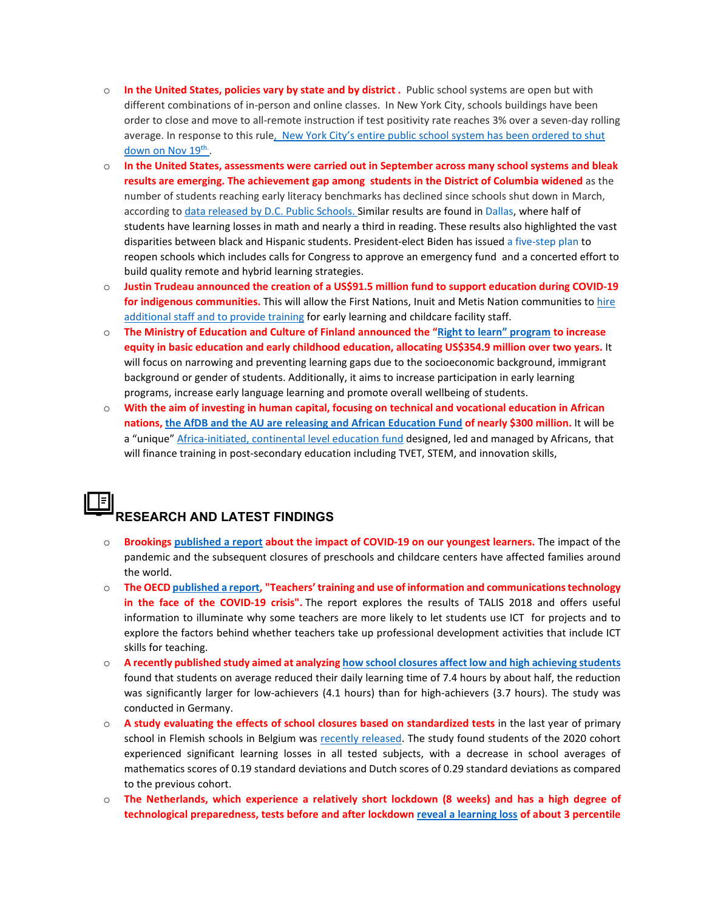- o **In the United States, policies vary by state and by district .** Public school systems are open but with different combinations of in-person and online classes. In New York City, schools buildings have been order to close and move to all-remote instruction if test positivity rate reaches 3% over a seven-day rolling average. In response to this rul[e, New York City's entire public school system](https://www.nytimes.com/2020/11/18/nyregion/nyc-schools-covid.html?name=styln-coronavirus-schools-reopening®ion=TOP_BANNER&block=storyline_menu_recirc&action=click&pgtype=Article&impression_id=8c750450-2a88-11eb-84ae-c15462948d77&variant=null) has been ordered to shut down on Nov 19<sup>th.</sup>.
- o **In the United States, assessments were carried out in September across many school systems and bleak results are emerging. The achievement gap among students in the District of Columbia widened** as the number of students reaching early literacy benchmarks has declined since schools shut down in March, according t[o data released by D.C. Public Schools.](https://www.washingtonpost.com/local/education/data-indicate-worsening-early-literacy-progress-and-widening-achievement-gap-among-district-students/2020/10/30/bebe2914-1a25-11eb-82db-60b15c874105_story.html) Similar results are found i[n Dallas,](https://www.dallasnews.com/news/education/2020/11/05/dallas-students-suffered-horrifying-learning-loss-during-pandemic-new-tests-suggests/) where half of students have learning losses in math and nearly a third in reading. These results also highlighted the vast disparities between black and Hispanic students. President-elect Biden has issue[d a five-step](https://www.politico.com/newsletters/weekly-education-coronavirus-special-edition/2020/11/09/making-up-for-lost-time-in-americas-schools-791454) plan to reopen schools which includes calls for Congress to approve an emergency fund and a concerted effort to build quality remote and hybrid learning strategies.
- o **Justin Trudeau announced the creation of a US\$91.5 million fund to support education during COVID-19 for indigenous communities.** This will allow the First Nations, Inuit and Metis Nation communities t[o hire](https://www.rcinet.ca/en/2020/10/30/ottawa-unveils-more-pandemic-support-for-indigenous-communities/)  [additional staff and to provide training](https://www.rcinet.ca/en/2020/10/30/ottawa-unveils-more-pandemic-support-for-indigenous-communities/) for early learning and childcare facility staff.
- o **The Ministry of Education and Culture of Finland announced the ["Right to learn" program](https://minedu.fi/en/-/hallituskauden-merkittavin-varhaiskasvatuksen-ja-perusopetuksen-kehittamisohjelma-kaynnistyy) to increase equity in basic education and early childhood education, allocating US\$354.9 million over two years.** It will focus on narrowing and preventing learning gaps due to the socioeconomic background, immigrant background or gender of students. Additionally, it aims to increase participation in early learning programs, increase early language learning and promote overall wellbeing of students.
- o **With the aim of investing in human capital, focusing on technical and vocational education in African nations, [the AfDB and the AU are releasing and African Education Fund](https://www.theafricareport.com/48729/africa-lessons-learned-so-far-from-the-covid-19-pandemic/) of nearly \$300 million.** It will be a "unique" [Africa-initiated, continental level education fund](https://thepienews.com/news/us300m-planned-african-technical-skills-development/) designed, led and managed by Africans, that will finance training in post-secondary education including TVET, STEM, and innovation skills,

# **RESEARCH AND LATEST FINDINGS**

- o **Brooking[s published a report](https://www.brookings.edu/blog/education-plus-development/2020/11/03/pre-primary-education-around-the-world-how-can-we-provide-quality-universal-early-education-for-all/) about the impact of COVID-19 on our youngest learners.** The impact of the pandemic and the subsequent closures of preschools and childcare centers have affected families around the world.
- o **The OEC[D published a report,](https://www.oecd-ilibrary.org/education/teachers-training-and-use-of-information-and-communications-technology-in-the-face-of-the-covid-19-crisis_696e0661-en;jsessionid=11kQ1EY6nnaM71RYUW-dWyqG.ip-10-240-5-34) "Teachers' training and use of information and communications technology in the face of the COVID-19 crisis".** The report explores the results of TALIS 2018 and offers useful information to illuminate why some teachers are more likely to let students use ICT for projects and to explore the factors behind whether teachers take up professional development activities that include ICT skills for teaching.
- o **A recently published study aimed at analyzin[g how school closures affect low and high achieving students](https://www.cesifo.org/DocDL/cesifo1_wp8648.pdf)** found that students on average reduced their daily learning time of 7.4 hours by about half, the reduction was significantly larger for low-achievers (4.1 hours) than for high-achievers (3.7 hours). The study was conducted in Germany.
- o **A study evaluating the effects of school closures based on standardized tests** in the last year of primary school in Flemish schools in Belgium was [recently released.](https://feb.kuleuven.be/research/economics/ces/documents/DPS/2020/dps2017.pdf) The study found students of the 2020 cohort experienced significant learning losses in all tested subjects, with a decrease in school averages of mathematics scores of 0.19 standard deviations and Dutch scores of 0.29 standard deviations as compared to the previous cohort.
- o **The Netherlands, which experience a relatively short lockdown (8 weeks) and has a high degree of technological preparedness, tests before and after lockdown [reveal a learning loss](http://conference.iza.org/conference_files/COVID_Youth/engzell_p30359.pdf) of about 3 percentile**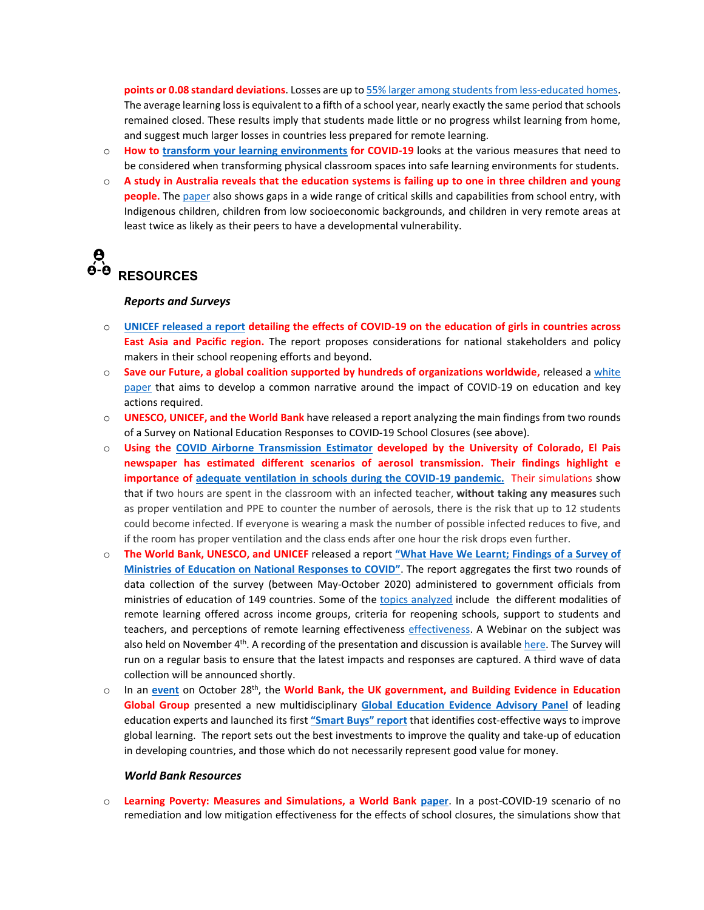**points or 0.08 standard deviations**. Losses are up t[o 55% larger among students from less-educated homes.](https://osf.io/preprints/socarxiv/ve4z7/) The average learning loss is equivalent to a fifth of a school year, nearly exactly the same period that schools remained closed. These results imply that students made little or no progress whilst learning from home, and suggest much larger losses in countries less prepared for remote learning.

- o **How to [transform your learning environments](https://www.sasaki.com/voices/how-to-transform-your-learning-environments-for-covid-19/) for COVID-19** looks at the various measures that need to be considered when transforming physical classroom spaces into safe learning environments for students.
- o **A study in Australia reveals that the education systems is failing up to one in three children and young people.** The [paper](https://www.vu.edu.au/sites/default/files/educational-opportunity-in-australia-2020.pdf) also shows gaps in a wide range of critical skills and capabilities from school entry, with Indigenous children, children from low socioeconomic backgrounds, and children in very remote areas at least twice as likely as their peers to have a developmental vulnerability.

# $\frac{\theta}{\dot{\theta}\cdot\dot{\theta}}$ **RESOURCES**

#### *Reports and Surveys*

- o **[UNICEF released a report](https://reliefweb.int/sites/reliefweb.int/files/resources/201016_eapro_girls_education_covid_final.pdf) detailing the effects of COVID-19 on the education of girls in countries across East Asia and Pacific region.** The report proposes considerations for national stakeholders and policy makers in their school reopening efforts and beyond.
- o **Save our Future, a global coalition supported by hundreds of organizations worldwide,** released a [white](https://saveourfuture.world/wp-content/uploads/2020/10/Averting-an-Education-Catastrophe-for-the-Worlds-Children_SOF_White-Paper.pdf)  [paper](https://saveourfuture.world/wp-content/uploads/2020/10/Averting-an-Education-Catastrophe-for-the-Worlds-Children_SOF_White-Paper.pdf) that aims to develop a common narrative around the impact of COVID-19 on education and key actions required.
- o **UNESCO, UNICEF, and the World Bank** have released a report analyzing the main findings from two rounds of a Survey on National Education Responses to COVID-19 School Closures (see above).
- o **Using the [COVID Airborne Transmission Estimator](https://english.elpais.com/society/2020-10-28/a-room-a-bar-and-a-class-how-the-coronavirus-is-spread-through-the-air.html?ssm=TW_CC&fbclid=IwAR0zdu20LkW5kN6CsmGNr70m5-c51PLk56fEmd_4qMKUpIRPHtI4XPx2n3E) developed by the University of Colorado, El Pais newspaper has estimated different scenarios of aerosol transmission. Their findings highlight e importance of [adequate ventilation in schools during the COVID-19 pandemic.](https://english.elpais.com/society/2020-10-28/a-room-a-bar-and-a-class-how-the-coronavirus-is-spread-through-the-air.html?ssm=TW_CC&fbclid=IwAR0zdu20LkW5kN6CsmGNr70m5-c51PLk56fEmd_4qMKUpIRPHtI4XPx2n3E)** Their simulations show that if two hours are spent in the classroom with an infected teacher, **without taking any measures** such as proper ventilation and PPE to counter the number of aerosols, there is the risk that up to 12 students could become infected. If everyone is wearing a mask the number of possible infected reduces to five, and if the room has proper ventilation and the class ends after one hour the risk drops even further.
- o **The World Bank, UNESCO, and UNICEF** released a report **["What Have We Learnt; Findings of a Survey of](https://openknowledge.worldbank.org/handle/10986/34700)  [Ministries of Education on National Responses to COVID"](https://openknowledge.worldbank.org/handle/10986/34700)**. The report aggregates the first two rounds of data collection of the survey (between May-October 2020) administered to government officials from ministries of education of 149 countries. Some of the [topics analyzed](https://infogram.com/key-findings-1hxr4z5ynon74yo?live) include the different modalities of remote learning offered across income groups, criteria for reopening schools, support to students and teachers, and perceptions of remote learning effectiveness [effectiveness.](https://www.unicef.org/press-releases/children-poorest-countries-have-lost-nearly-four-months-schooling-start-pandemic) A Webinar on the subject was also held on November 4<sup>th</sup>. A recording of the presentation and discussion is availabl[e here.](https://www.youtube.com/watch?v=42OEb1aFPkE&feature=youtu.be) The Survey will run on a regular basis to ensure that the latest impacts and responses are captured. A third wave of data collection will be announced shortly.
- o In an **[event](https://live.worldbank.org/smart-buys)** on October 28th, the **World Bank, the UK government, and Building Evidence in Education Global Group** presented a new multidisciplinary **[Global Education Evidence Advisory Panel](https://www.worldbank.org/en/topic/teachingandlearning/brief/global-education-evidence-advisory-panel)** of leading education experts and launched its first **["Smart Buys" report](http://documents1.worldbank.org/curated/en/719211603835247448/pdf/Cost-Effective-Approaches-to-Improve-Global-Learning-What-Does-Recent-Evidence-Tell-Us-Are-Smart-Buys-for-Improving-Learning-in-Low-and-Middle-Income-Countries.pdf)** that identifies cost-effective ways to improve global learning. The report sets out the best investments to improve the quality and take-up of education in developing countries, and those which do not necessarily represent good value for money.

#### *World Bank Resources*

o **Learning Poverty: Measures and Simulations, a World Bank [paper](http://documents1.worldbank.org/curated/en/232501603286799234/pdf/Learning-Poverty-Measures-and-Simulations.pdf)**. In a post-COVID-19 scenario of no remediation and low mitigation effectiveness for the effects of school closures, the simulations show that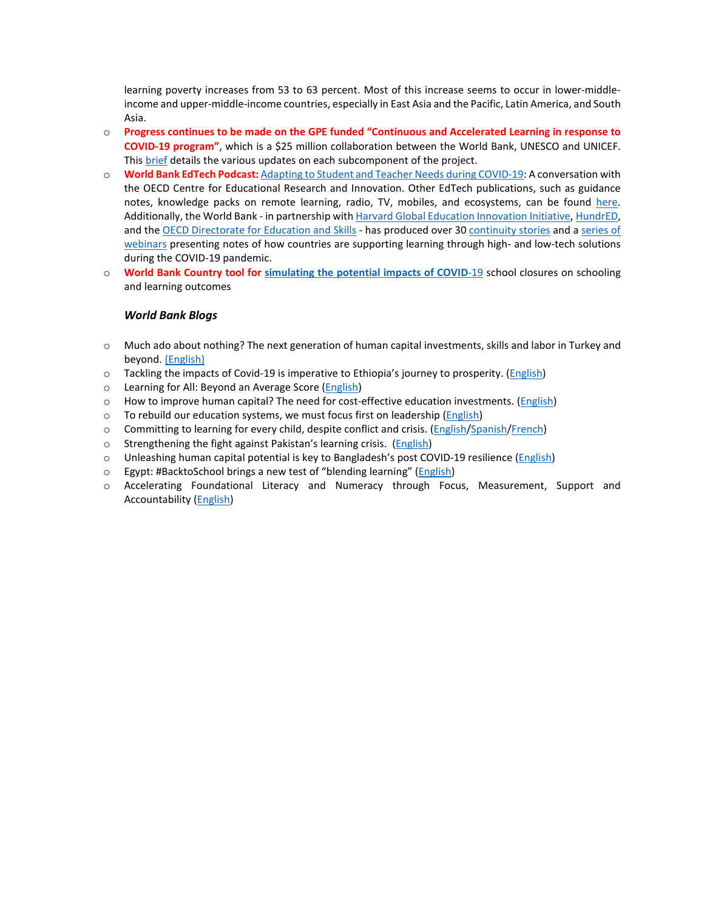learning poverty increases from 53 to 63 percent. Most of this increase seems to occur in lower-middleincome and upper-middle-income countries, especially in East Asia and the Pacific, Latin America, and South Asia.

- o **Progress continues to be made on the GPE funded "Continuous and Accelerated Learning in response to COVID-19 program"**, which is a \$25 million collaboration between the World Bank, UNESCO and UNICEF. Thi[s brief](https://www.worldbank.org/en/topic/education/brief/joint-initiative-for-continuous-accelerated-learning-in-response-to-covid-19) details the various updates on each subcomponent of the project.
- o **World Bank EdTech Podcast:** [Adapting to Student and Teacher Needs during COVID-19:](https://podcasts.apple.com/us/podcast/adapting-to-student-teacher-needs-during-covid-19-conversation/id1523333192?i=1000495430536) A conversation with the OECD Centre for Educational Research and Innovation. Other EdTech publications, such as guidance notes, knowledge packs on remote learning, radio, TV, mobiles, and ecosystems, can be found here. Additionally, the World Bank - in partnership wit[h Harvard Global Education Innovation Initiative,](https://globaled.gse.harvard.edu/education-and-covid-19-pandemic) [HundrED,](https://hundred.org/en/collections/quality-education-for-all-during-coronavirus) and the [OECD Directorate for Education and Skills](https://oecdedutoday.com/coronavirus/#Framework) - has produced over 30 [continuity stories](https://www.worldbank.org/en/topic/edutech/brief/lessons-for-education-during-covid-19-crisis-continuity-stories) and a [series of](https://www.worldbank.org/en/topic/edutech/brief/lessons-for-education-during-covid-19-crisis-webinars)  [webinars](https://www.worldbank.org/en/topic/edutech/brief/lessons-for-education-during-covid-19-crisis-webinars) presenting notes of how countries are supporting learning through high- and low-tech solutions during the COVID-19 pandemic.
- o **World Bank Country tool for [simulating the potential impacts of COVID](https://worldbankgroup.sharepoint.com/:x:/s/Education/EVzS8m_7UJBIkhMXMhYmF2EBQD7BjdUPcgUb1T5FPD4rnQ?e=NSNFq2&CID=78F39ED1-B5AC-40CD-A208-0D10651AC6C2&wdLOR=c71366A2B-67D2-4006-A2CD-3BCD962287C1)**-19 school closures on schooling and learning outcomes

#### *World Bank Blogs*

- $\circ$  Much ado about nothing? The next generation of human capital investments, skills and labor in Turkey and beyond[. \(English\)](https://blogs.worldbank.org/europeandcentralasia/the-next-generation-of-human-capital-investments-skills-and-labor-in-Turkey-and-beyond)
- o Tackling the impacts of Covid-19 is imperative to Ethiopia's journey to prosperity. [\(English\)](https://blogs.worldbank.org/africacan/tackling-impacts-covid-19-imperative-ethiopias-journey-prosperity)
- o Learning for All: Beyond an Average Score [\(English\)](https://blogs.worldbank.org/education/learning-all-beyond-average-score)
- o How to improve human capital? The need for cost-effective education investments. [\(English\)](https://blogs.worldbank.org/education/how-improve-human-capital-need-cost-effective-education-investments)
- o To rebuild our education systems, we must focus first on leadership [\(English\)](https://blogs.worldbank.org/education/rebuild-our-education-systems-we-must-focus-first-leadership)
- o Committing to learning for every child, despite conflict and crisis. [\(English](https://blogs.worldbank.org/dev4peace/committing-learning-every-child-despite-conflict-and-crisis)[/Spanish](https://blogs.worldbank.org/es/voces/compromiso-con-el-aprendizaje-de-cada-nino-pesar-de-los-conflictos-y-las-crisis)[/French\)](https://blogs.worldbank.org/fr/voices/garantir-chaque-enfant-la-chance-dapprendre-malgre-les-conflits-et-les-crises)
- o Strengthening the fight against Pakistan's learning crisis. [\(English\)](https://blogs.worldbank.org/endpovertyinsouthasia/strengthening-fight-against-pakistans-learning-crisis)
- o Unleashing human capital potential is key to Bangladesh's post COVID-19 resilience [\(English\)](https://blogs.worldbank.org/endpovertyinsouthasia/unleashing-human-capital-potential-key-bangladeshs-post-covid-resilience)
- o Egypt: #BacktoSchool brings a new test of "blending learning" [\(English\)](https://blogs.worldbank.org/arabvoices/egypt-back-school-brings-new-test-blending-learning)
- o Accelerating Foundational Literacy and Numeracy through Focus, Measurement, Support and Accountability [\(English\)](https://blogs.worldbank.org/education/accelerating-foundational-literacy-and-numeracy-through-focus-measurement-support-and)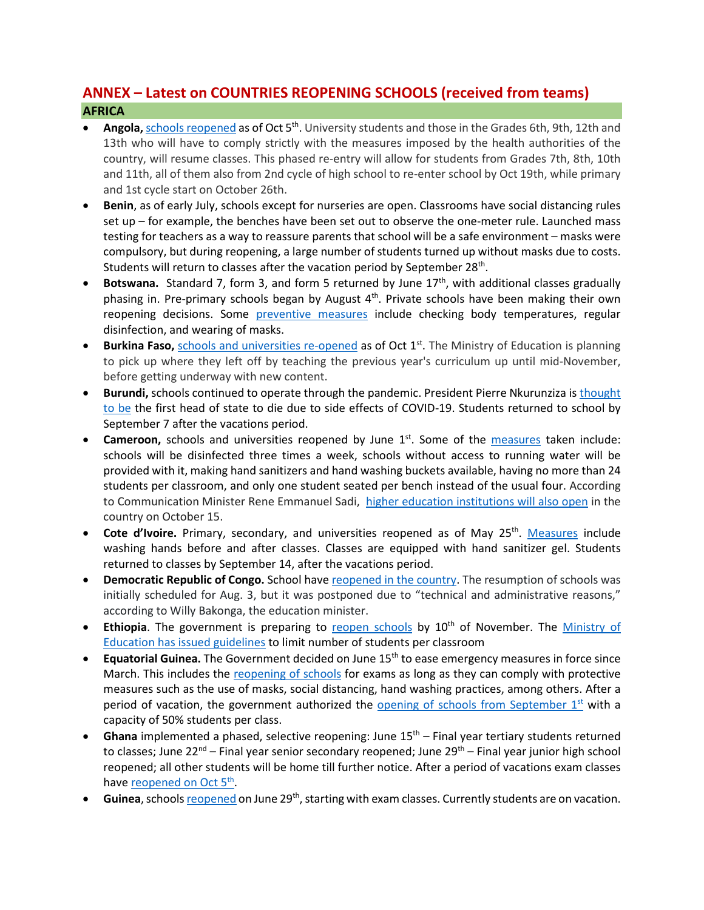## **ANNEX – Latest on COUNTRIES REOPENING SCHOOLS (received from teams) AFRICA**

- Angola, [schools reopened](http://www.angop.ao/angola/en_us/noticias/educacao/2020/9/41/Students-back-school-today,544b6c75-b29e-464a-a525-4f546eecc706.html) as of Oct 5<sup>th</sup>. University students and those in the Grades 6th, 9th, 12th and 13th who will have to comply strictly with the measures imposed by the health authorities of the country, will resume classes. This phased re-entry will allow for students from Grades 7th, 8th, 10th and 11th, all of them also from 2nd cycle of high school to re-enter school by Oct 19th, while primary and 1st cycle start on October 26th.
- **Benin**, as of early July, schools except for nurseries are open. Classrooms have social distancing rules set up – for example, the benches have been set out to observe the one-meter rule. Launched mass testing for teachers as a way to reassure parents that school will be a safe environment – masks were compulsory, but during reopening, a large number of students turned up without masks due to costs. Students will return to classes after the vacation period by September 28<sup>th</sup>.
- **Botswana.** Standard 7, form 3, and form 5 returned by June 17<sup>th</sup>, with additional classes gradually phasing in. Pre-primary schools began by August  $4<sup>th</sup>$ . Private schools have been making their own reopening decisions. Some [preventive measures](https://www.bbc.com/news/topics/c77jz3mdqypt/botswana) include checking body temperatures, regular disinfection, and wearing of masks.
- **Burkina Faso,** [schools and universities re-opened](https://www.africanews.com/2020/10/02/covid-19-schools-and-universities-reopen-in-burkina-faso-after-six-month-closure/) as of Oct 1<sup>st</sup>. The Ministry of Education is planning to pick up where they left off by teaching the previous year's curriculum up until mid-November, before getting underway with new content.
- **Burundi,** schools continued to operate through the pandemic. President Pierre Nkurunziza is [thought](https://www.ft.com/content/a232c62b-ded1-4dd4-8ca7-a5bb5214987f)  [to be](https://www.ft.com/content/a232c62b-ded1-4dd4-8ca7-a5bb5214987f) the first head of state to die due to side effects of COVID-19. Students returned to school by September 7 after the vacations period.
- **Cameroon,** schools and universities reopened by June 1<sup>st</sup>. Some of the [measures](https://www.voanews.com/africa/cameroon-opens-schools-amid-covid-19-spike) taken include: schools will be disinfected three times a week, schools without access to running water will be provided with it, making hand sanitizers and hand washing buckets available, having no more than 24 students per classroom, and only one student seated per bench instead of the usual four. According to Communication Minister Rene Emmanuel Sadi, [higher education institutions will also open](https://africa.cgtn.com/2020/10/05/schools-reopen-in-cameroon-after-seven-months-of-closure/) in the country on October 15.
- Cote d'Ivoire. Primary, secondary, and universities reopened as of May 25<sup>th</sup>. [Measures](https://www.reuters.com/article/us-health-coronavirus-ivorycoast-educati/ivory-coast-children-head-back-to-school-after-virus-shutdown-idUSKBN2311FC) include washing hands before and after classes. Classes are equipped with hand sanitizer gel. Students returned to classes by September 14, after the vacations period.
- **Democratic Republic of Congo.** School hav[e reopened in the country.](https://www.aa.com.tr/en/africa/schools-reopen-in-dr-congo-amid-covid-19/1937210) The resumption of schools was initially scheduled for Aug. 3, but it was postponed due to "technical and administrative reasons," according to Willy Bakonga, the education minister.
- **Ethiopia**. The government is preparing to [reopen schools](https://allafrica.com/stories/202009300268.html) by 10<sup>th</sup> of November. The Ministry of [Education has issued guidelines](https://allafrica.com/stories/202009100812.html) to limit number of students per classroom
- **Equatorial Guinea.** The Government decided on June 15th to ease emergency measures in force since March. This includes the [reopening of schools](https://www.africanews.com/2020/06/17/legal-alert-understanding-the-dos-and-donts-of-equatorial-guineas-deconfinement-measures/) for exams as long as they can comply with protective measures such as the use of masks, social distancing, hand washing practices, among others. After a period of vacation, the government authorized the opening of schools from September  $1<sup>st</sup>$  with a capacity of 50% students per class.
- Ghana implemented a phased, selective reopening: June 15<sup>th</sup> Final year tertiary students returned to classes; June 22<sup>nd</sup> – Final year senior secondary reopened; June 29<sup>th</sup> – Final year junior high school reopened; all other students will be home till further notice. After a period of vacations exam classes have reopened on Oct 5<sup>th</sup>.
- Guinea, school[s reopened](https://reliefweb.int/report/guinea/guinea-coronavirus-covid-19-situation-report-no-11-24-june-7-july-2020) on June 29<sup>th</sup>, starting with exam classes. Currently students are on vacation.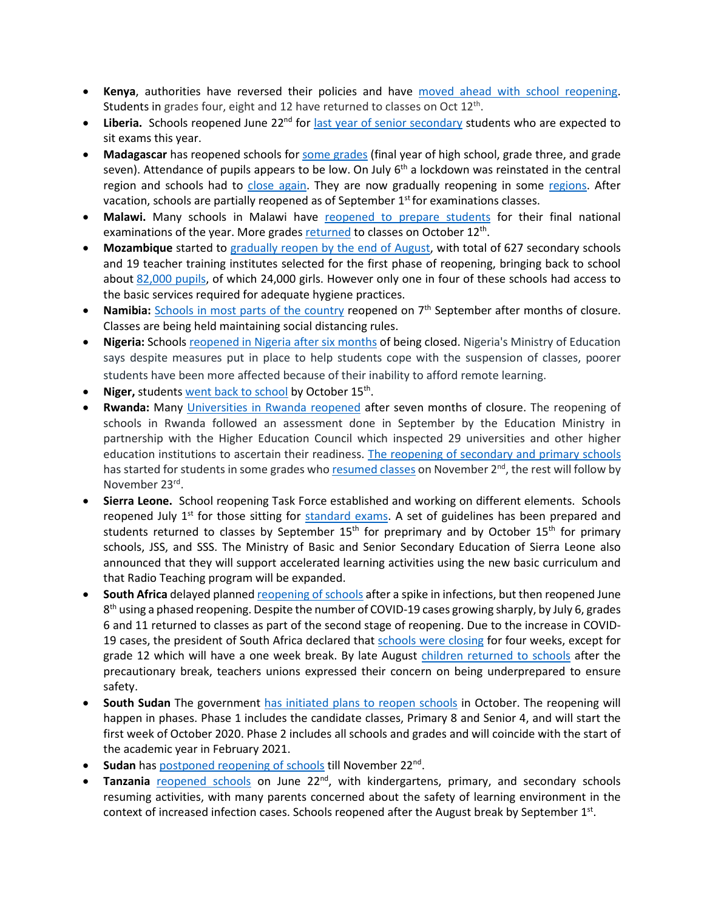- **Kenya**, authorities have reversed their policies and have [moved ahead with school reopening.](https://www.unicef.org/kenya/press-releases/UNICEF-welcomes-schools-reopening-in-Kenya) Students in grades four, eight and 12 have returned to classes on Oct 12<sup>th</sup>.
- Liberia. Schools reopened June 22<sup>nd</sup> for [last year of senior secondary](https://allafrica.com/stories/202007170728.html) students who are expected to sit exams this year.
- **Madagascar** has reopened schools for [some grades](https://reliefweb.int/sites/reliefweb.int/files/resources/UNICEF%20Madagascar%20COVID-19%20Situation%20Report%20for%207%20July%202020.pdf) (final year of high school, grade three, and grade seven). Attendance of pupils appears to be low. On July  $6<sup>th</sup>$  a lockdown was reinstated in the central region and schools had to [close again.](https://www.cnn.com/2020/07/06/africa/madagascar-lockdown-coronavirus-intl/index.html) They are now gradually reopening in some [regions.](https://reliefweb.int/report/madagascar/madagascar-country-office-covid-19-response-13-august-2020) After vacation, schools are partially reopened as of September  $1<sup>st</sup>$  for examinations classes.
- **Malawi.** Many schools in Malawi have [reopened to prepare students](https://www.bignewsnetwork.com/news/266346433/feature-malawian-students-back-to-school-under-strict-covid-19-measures) for their final national examinations of the year. More grade[s returned](https://www.unicef.org/malawi/stories/school-reopening-malawi) to classes on October 12<sup>th</sup>.
- **Mozambique** started to [gradually reopen by the end of August,](https://blogs.worldbank.org/water/times-covid-19-future-education-depends-provision-water-sanitation-and-hygiene-services) with total of 627 secondary schools and 19 teacher training institutes selected for the first phase of reopening, bringing back to school about [82,000 pupils,](http://www.mined.gov.mz/STATS/Pages/3Marco.aspx) of which 24,000 girls. However only one in four of these schools had access to the basic services required for adequate hygiene practices.
- **Namibia:** [Schools in most parts of the country](https://www.aa.com.tr/en/africa/schools-reopen-in-namibia-after-months/1965648) reopened on 7<sup>th</sup> September after months of closure. Classes are being held maintaining social distancing rules.
- **Nigeria:** School[s reopened in Nigeria after six months](https://www.voanews.com/africa/nigeria-government-calls-reopening-schools-after-6-month-covid-lockdown) of being closed. Nigeria's Ministry of Education says despite measures put in place to help students cope with the suspension of classes, poorer students have been more affected because of their inability to afford remote learning.
- Niger, students [went back to school](https://reliefweb.int/report/niger/schools-reopen-niger-after-pandemic-closings) by October 15<sup>th</sup>.
- **Rwanda:** Many [Universities in Rwanda reopene](https://www.aa.com.tr/en/africa/schools-reopen-in-kenya-rwanda-dr-congo/2003919)d after seven months of closure. The reopening of schools in Rwanda followed an assessment done in September by the Education Ministry in partnership with the Higher Education Council which inspected 29 universities and other higher education institutions to ascertain their readiness. [The reopening of secondary and primary schools](https://www.aa.com.tr/en/africa/schools-reopen-in-kenya-rwanda-dr-congo/2003919) has started for students in some grades who [resumed classes](https://africa.cgtn.com/2020/11/02/rwandan-schools-partly-reopen-after-7-month-suspension-due-to-covid-19/) on November 2<sup>nd</sup>, the rest will follow by November 23rd.
- **Sierra Leone.** School reopening Task Force established and working on different elements. Schools reopened July  $1<sup>st</sup>$  for those sitting for [standard exams.](http://slconcordtimes.com/opinion-20/) A set of guidelines has been prepared and students returned to classes by September 15<sup>th</sup> for preprimary and by October 15<sup>th</sup> for primary schools, JSS, and SSS. The Ministry of Basic and Senior Secondary Education of Sierra Leone also announced that they will support accelerated learning activities using the new basic curriculum and that Radio Teaching program will be expanded.
- **South Africa** delayed planne[d reopening of schools](https://medicalxpress.com/news/2020-07-south-africa-phase-reopening-schools.html) after a spike in infections, but then reopened June  $8<sup>th</sup>$  using a phased reopening. Despite the number of COVID-19 cases growing sharply, by July 6, grades 6 and 11 returned to classes as part of the second stage of reopening. Due to the increase in COVID19 cases, the president of South Africa declared tha[t schools were closing](https://www.voanews.com/covid-19-pandemic/south-africa-schools-close-4-weeks-curb-coronavirus) for four weeks, except for grade 12 which will have a one week break. By late August [children returned to schools](https://www.aa.com.tr/en/africa/south-africa-teachers-voice-concern-as-schools-reopen/1952118) after the precautionary break, teachers unions expressed their concern on being underprepared to ensure safety.
- **South Sudan** The government has [initiated plans to reopen schools](https://en.unesco.org/news/unicef-and-unesco-welcome-decision-reopen-schools-south-sudan) in October. The reopening will happen in phases. Phase 1 includes the candidate classes, Primary 8 and Senior 4, and will start the first week of October 2020. Phase 2 includes all schools and grades and will coincide with the start of the academic year in February 2021.
- **Sudan** ha[s postponed reopening of schools](https://reliefweb.int/report/sudan/sudan-covid-19-situation-overview-response-10-november-2020) till November 22nd.
- Tanzania [reopened schools](https://africa.cgtn.com/2020/06/29/tanzanian-schools-reopen-with-strict-health-guidelines/) on June 22<sup>nd</sup>, with kindergartens, primary, and secondary schools resuming activities, with many parents concerned about the safety of learning environment in the context of increased infection cases. Schools reopened after the August break by September  $1<sup>st</sup>$ .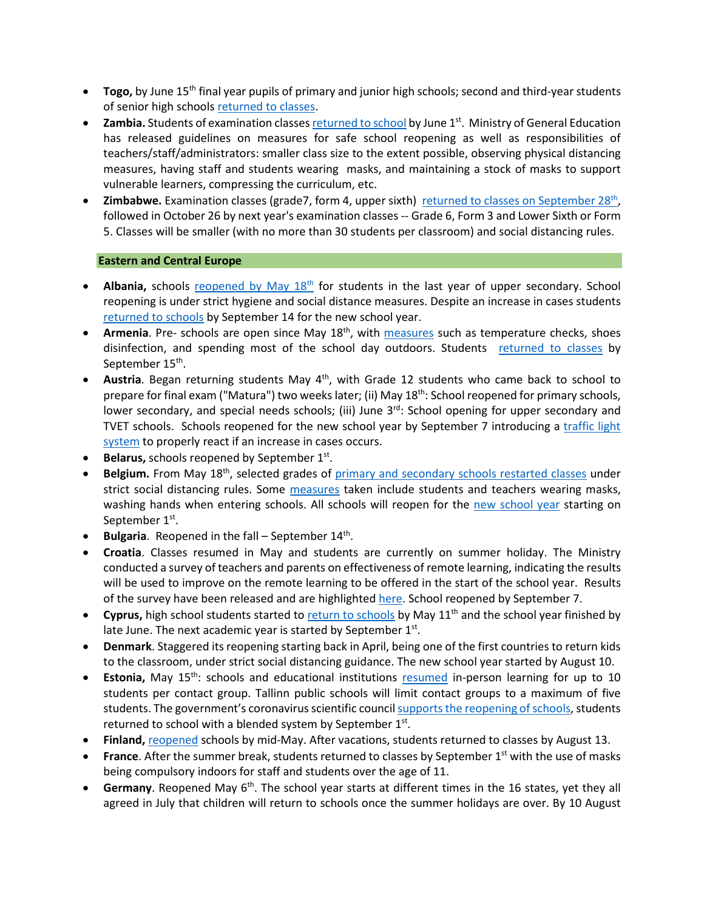- **Togo,** by June 15<sup>th</sup> final year pupils of primary and junior high schools; second and third-year students of senior high schools [returned to classes.](https://www.togofirst.com/en/education/1306-5718-schools-reopen-on-june-15-2020)
- **Zambia.** Students of examination classe[s returned to school](http://www.xinhuanet.com/english/2020-06/01/c_139105832.htm) by June 1<sup>st</sup>. Ministry of General Education has released guidelines on measures for safe school reopening as well as responsibilities of teachers/staff/administrators: smaller class size to the extent possible, observing physical distancing measures, having staff and students wearing masks, and maintaining a stock of masks to support vulnerable learners, compressing the curriculum, etc.
- **Zimbabwe.** Examination classes (grade7, form 4, upper sixth) returned to classes on September 28<sup>th</sup>, followed in October 26 by next year's examination classes -- Grade 6, Form 3 and Lower Sixth or Form 5. Classes will be smaller (with no more than 30 students per classroom) and social distancing rules.

### **Eastern and Central Europe**

- **Albania,** schools reopened by May 18<sup>th</sup> for students in the last year of upper secondary. School reopening is under strict hygiene and social distance measures. Despite an increase in cases students [returned to schools](https://balkaninsight.com/2020/08/20/albania-to-open-schools-in-september-despite-covid-19-risks/) by September 14 for the new school year.
- **Armenia**. Pre- schools are open since May 18th, with [measures](https://en.armradio.am/2020/05/20/kindergartens-in-yerevan-reopen-after-a-two-month-lockdown/) such as temperature checks, shoes disinfection, and spending most of the school day outdoors. Students [returned to classes](https://jam-news.net/armenian-schools-will-open-epidemiologists-warn-authorities-rush/) by September 15<sup>th</sup>.
- Austria. Began returning students May 4<sup>th</sup>, with Grade 12 students who came back to school to prepare for final exam ("Matura") two weeks later; (ii) May  $18<sup>th</sup>$ : School reopened for primary schools, lower secondary, and special needs schools; (iii) June 3<sup>rd</sup>: School opening for upper secondary and TVET schools. Schools reopened for the new school year by September 7 introducing a [traffic light](https://www.vindobona.org/article/austria-introduces-traffic-light-system-as-schools-are-reopening)  [system](https://www.vindobona.org/article/austria-introduces-traffic-light-system-as-schools-are-reopening) to properly react if an increase in cases occurs.
- **Belarus, schools reopened by September 1st.**
- Belgium. From May 18<sup>th</sup>, selected grades of [primary and secondary schools restarte](https://www.politico.eu/article/belgium-lifts-its-lockdown-what-is-allowed-and-when/)d classes under strict social distancing rules. Some [measures](https://www.voanews.com/student-union/students-belgium-return-school-after-2-month-covid-break) taken include students and teachers wearing masks, washing hands when entering schools. All schools will reopen for the [new school year](https://www.politico.eu/article/coronavirus-all-belgian-schools-to-reopen-on-september-1/) starting on September 1<sup>st</sup>.
- **Bulgaria**. Reopened in the fall September 14th.
- **Croatia**. Classes resumed in May and students are currently on summer holiday. The Ministry conducted a survey of teachers and parents on effectiveness of remote learning, indicating the results will be used to improve on the remote learning to be offered in the start of the school year. Results of the survey have been released and are highlighte[d here.](https://www.croatiaweek.com/school-heads-and-teachers-in-croatia-satisfied-with-online-classes/) School reopened by September 7.
- Cyprus, high school students started to [return to schools](https://www.weforum.org/agenda/2020/05/schools-education-lockdowns-coronavirus-covid19/) by May 11<sup>th</sup> and the school year finished by late June. The next academic year is started by September  $1<sup>st</sup>$ .
- **Denmark**. Staggered its reopening starting back in April, being one of the first countries to return kids to the classroom, under strict social distancing guidance. The new school year started by August 10.
- **Estonia,** May 15<sup>th</sup>: schools and educational institutions [resumed](https://ee.usembassy.gov/2020-05-08-5/%20https:/www.hm.ee/en/news/estonia-offers-its-digital-education-solutions-free-support-other-countries) in-person learning for up to 10 students per contact group. Tallinn public schools will limit contact groups to a maximum of five students. The government's coronavirus scientific council [supports the reopening of schools,](https://news.err.ee/1126830/coronavirus-scientific-council-supports-reopening-schools-on-september-1) students returned to school with a blended system by September  $1<sup>st</sup>$ .
- **Finland,** [reopened](https://www.reuters.com/article/us-health-coronavirus-finland/coronavirus-infections-slow-down-in-finland-despite-schools-opening-idUSKBN23B19K) schools by mid-May. After vacations, students returned to classes by August 13.
- **France**. After the summer break, students returned to classes by September 1<sup>st</sup> with the use of masks being compulsory indoors for staff and students over the age of 11.
- **Germany**. Reopened May 6<sup>th</sup>. The school year starts at different times in the 16 states, yet they all agreed in July that children will return to schools once the summer holidays are over. By 10 August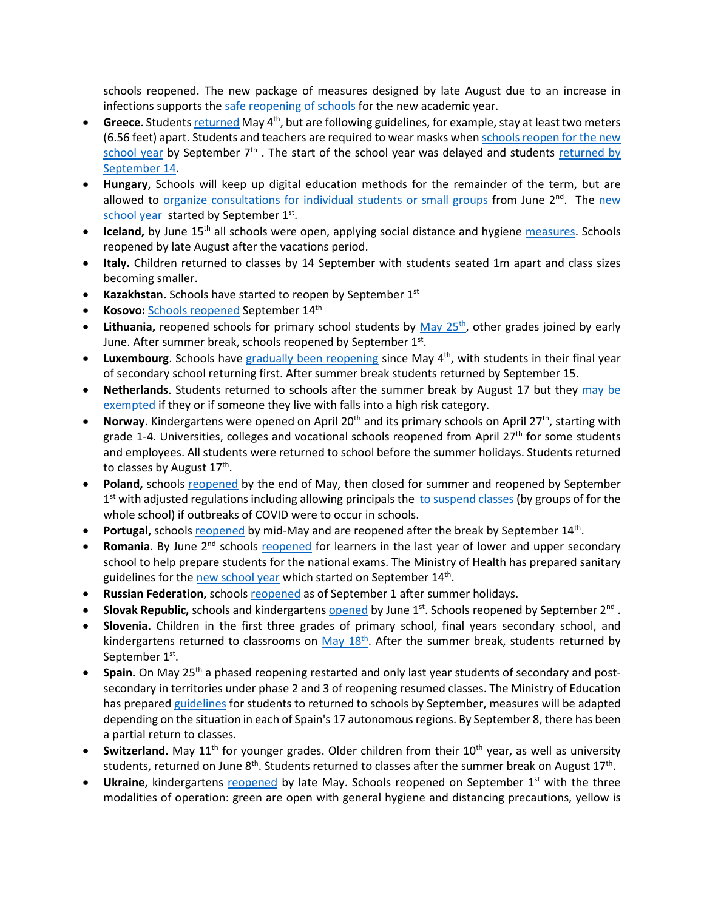schools reopened. The new package of measures designed by late August due to an increase in infections supports th[e safe reopening of schools](https://www.wsj.com/articles/germany-hits-pause-on-reopening-amid-rising-covid-19-infections-11598545067) for the new academic year.

- Greece. Student[s returned](https://www.brookings.edu/blog/order-from-chaos/2020/06/02/how-greece-can-reopen-without-ruining-its-coronavirus-containment-success/) May 4<sup>th</sup>, but are following guidelines, for example, stay at least two meters (6.56 feet) apart. Students and teachers are required to wear masks whe[n schools reopen for the new](https://www.reuters.com/article/us-health-coronavirus-greece-masks/greece-tells-students-to-wear-masks-when-schools-reopen-sept-7-idUSKBN25K1M8)  [school year](https://www.reuters.com/article/us-health-coronavirus-greece-masks/greece-tells-students-to-wear-masks-when-schools-reopen-sept-7-idUSKBN25K1M8) by September  $7<sup>th</sup>$ . The start of the school year was delayed and students returned by [September 14.](https://www.reuters.com/article/us-health-coronavirus-greece-education/greece-delays-school-reopening-to-sept-14-students-to-wear-masks-idUSKBN25S57M)
- **Hungary**, Schools will keep up digital education methods for the remainder of the term, but are allowed to [organize consultations for individual students or small groups](https://hungarytoday.hu/hungary-schools-open-coronavirus/) from June  $2<sup>nd</sup>$ . The new [school year](https://dailynewshungary.com/hungarian-schools-to-start-in-classrooms-on-sept-1/) started by September 1st.
- **Iceland,** by June 15<sup>th</sup> all schools were open, applying social distance and hygiene [measures.](https://www.icelandreview.com/ask-ir/whats-the-status-of-covid-19-in-iceland/) Schools reopened by late August after the vacations period.
- **Italy.** Children returned to classes by 14 September with students seated 1m apart and class sizes becoming smaller.
- **Kazakhstan.** Schools have started to reopen by September 1<sup>st</sup>
- **Kosovo:** [Schools reopened](https://gandhara.rferl.org/a/back-to-school-amid-the-covid-19-pandemic/30840488.html#:%7E:text=Schools%20are%20reopening%20for%20the,the%20spread%20of%20the%20coronavirus.&text=Kosovar%20schools%20reopened%20on%20September,the%20COVID%2D19%20crisis%20began.) September 14th
- Lithuania, reopened schools for primary school students by May 25<sup>th</sup>, other grades joined by early June. After summer break, schools reopened by September 1st.
- Luxembourg. Schools have [gradually been reopening](https://lu.usembassy.gov/covid-19-information/) since May 4<sup>th</sup>, with students in their final year of secondary school returning first. After summer break students returned by September 15.
- **Netherlands**. Students returned to schools after the summer break by August 17 but they [may be](https://www.government.nl/topics/coronavirus-covid-19/questions-about-coronavirus-and-the-education-sector)  [exempted](https://www.government.nl/topics/coronavirus-covid-19/questions-about-coronavirus-and-the-education-sector) if they or if someone they live with falls into a high risk category.
- **Norway**. Kindergartens were opened on April 20<sup>th</sup> and its primary schools on April 27<sup>th</sup>, starting with grade 1-4. Universities, colleges and vocational schools reopened from April  $27<sup>th</sup>$  for some students and employees. All students were returned to school before the summer holidays. Students returned to classes by August  $17<sup>th</sup>$ .
- **Poland,** schools [reopened](https://www.bbc.com/news/world-europe-52796699) by the end of May, then closed for summer and reopened by September  $1<sup>st</sup>$  with adjusted regulations including allowing principals the [to suspend classes](https://www.gov.pl/web/edukacja/bezpieczny-powrot-do-szkol-dzialania-men-w-organizacji-roku-szkolnego-20202021-w-warunkach-epidemii) (by groups of for the whole school) if outbreaks of COVID were to occur in schools.
- Portugal, school[s reopened](https://www.theportugalnews.com/news/restaurants-cafes-daycare-centres-and-schools-reopen-on-monday/54168) by mid-May and are reopened after the break by September 14<sup>th</sup>.
- Romania. By June 2<sup>nd</sup> schools [reopened](https://www.cedefop.europa.eu/en/news-and-press/news/romania-responses-covid-19-outbreak) for learners in the last year of lower and upper secondary school to help prepare students for the national exams. The Ministry of Health has prepared sanitary guidelines for th[e new school year](https://www.romania-insider.com/health-ministry-safety-rules-schools) which started on September 14<sup>th</sup>.
- Russian Federation, schools [reopened](https://www.themoscowtimes.com/2020/09/01/russian-schools-reopen-as-coronavirus-cases-climb-a71301) as of September 1 after summer holidays.
- **Slovak Republic,** schools and kindergartens [opened](https://domov.sme.sk/c/22406854/koronavirus-slovensko-uvolnenie-dalsich-opatreni.html) by June 1st. Schools reopened by September 2nd .
- **Slovenia.** Children in the first three grades of primary school, final years secondary school, and kindergartens returned to classrooms on  $\frac{May 18^{th}}{18}$ . After the summer break, students returned by September 1<sup>st</sup>.
- **Spain.** On May 25th a phased reopening restarted and only last year students of secondary and postsecondary in territories under phase 2 and 3 of reopening resumed classes. The Ministry of Education has prepare[d guidelines](https://www.lamoncloa.gob.es/serviciosdeprensa/notasprensa/educacion/Documents/2020/230620-Guia-educacion.pdf) for students to returned to schools by September, measures will be adapted depending on the situation in each of Spain's 17 autonomous regions. By September 8, there has been a partial return to classes.
- Switzerland. May 11<sup>th</sup> for younger grades. Older children from their 10<sup>th</sup> year, as well as university students, returned on June 8<sup>th</sup>. Students returned to classes after the summer break on August 17<sup>th</sup>.
- **Ukraine**, kindergartens [reopened](https://www.thenationalherald.com/coronavirus/arthro/schools_subways_open_in_ukraine_as_lockdown_lifted-347116/) by late May. Schools reopened on September 1<sup>st</sup> with the three modalities of operation: green are open with general hygiene and distancing precautions, yellow is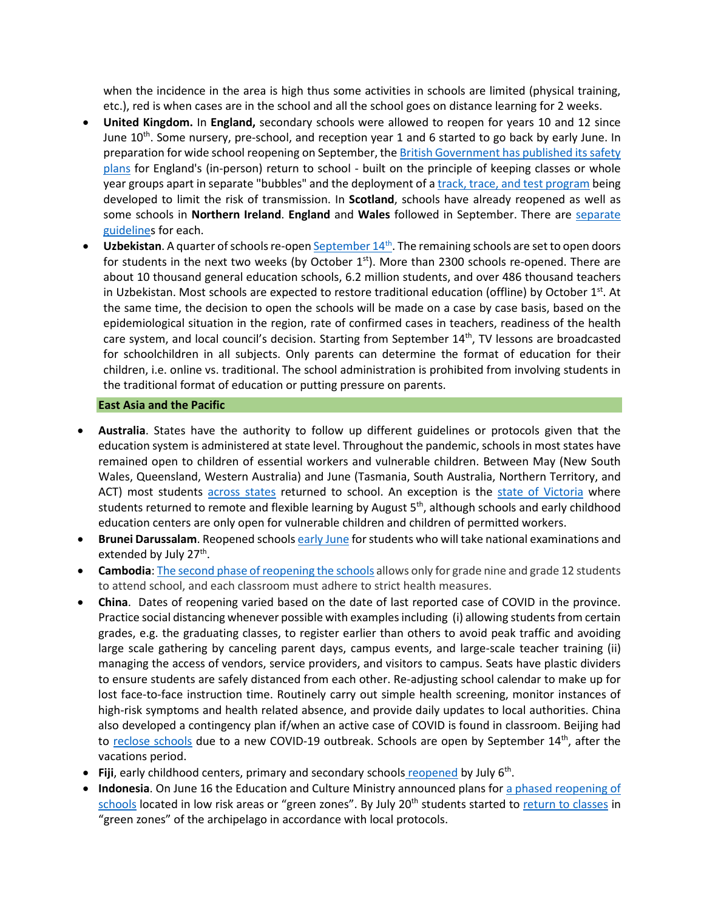when the incidence in the area is high thus some activities in schools are limited (physical training, etc.), red is when cases are in the school and all the school goes on distance learning for 2 weeks.

- **United Kingdom.** In **England,** secondary schools were allowed to reopen for years 10 and 12 since June  $10^{th}$ . Some nursery, pre-school, and reception year 1 and 6 started to go back by early June. In preparation for wide school reopening on September, th[e British Government has published its safety](https://www.bbc.com/news/education-53253722)  [plans](https://www.bbc.com/news/education-53253722) for England's (in-person) return to school - built on the principle of keeping classes or whole year groups apart in separate "bubbles" and the deployment of [a track, trace, and test program](https://www.bbc.com/news/uk-northern-ireland-53578636) being developed to limit the risk of transmission. In **Scotland**, schools have already reopened as well as some schools in **Northern Ireland**. **England** and **Wales** followed in September. There are [separate](https://www.bbc.com/news/education-51643556)  [guidelines](https://www.bbc.com/news/education-51643556) for each.
- Uzbekistan. A quarter of schools re-open September 14<sup>th</sup>. The remaining schools are set to open doors for students in the next two weeks (by October  $1<sup>st</sup>$ ). More than 2300 schools re-opened. There are about 10 thousand general education schools, 6.2 million students, and over 486 thousand teachers in Uzbekistan. Most schools are expected to restore traditional education (offline) by October  $1<sup>st</sup>$ . At the same time, the decision to open the schools will be made on a case by case basis, based on the epidemiological situation in the region, rate of confirmed cases in teachers, readiness of the health care system, and local council's decision. Starting from September  $14<sup>th</sup>$ , TV lessons are broadcasted for schoolchildren in all subjects. Only parents can determine the format of education for their children, i.e. online vs. traditional. The school administration is prohibited from involving students in the traditional format of education or putting pressure on parents.

#### **East Asia and the Pacific**

- **Australia**. States have the authority to follow up different guidelines or protocols given that the education system is administered at state level. Throughout the pandemic, schools in most states have remained open to children of essential workers and vulnerable children. Between May (New South Wales, Queensland, Western Australia) and June (Tasmania, South Australia, Northern Territory, and ACT) most students [across states](https://www.theguardian.com/australia-news/2020/aug/26/australia-covid-19-lockdown-rules-coronavirus-restrictions-by-state-how-far-can-travel-interstate-border-social-distancing-nsw-victoria-vic-queensland-qld-wa-sa-act-how-many-people-over-house) returned to school. An exception is the [state of Victoria](https://www.education.vic.gov.au/about/department/Pages/coronavirus.aspx) where students returned to remote and flexible learning by August  $5<sup>th</sup>$ , although schools and early childhood education centers are only open for vulnerable children and children of permitted workers.
- **Brunei Darussalam**. Reopened school[s early June](https://thescoop.co/2020/05/21/brunei-partially-reopens-schools-on-june-2-as-coronavirus-concerns-ease/) for students who will take national examinations and extended by July 27<sup>th</sup>.
- **Cambodia**[: The second phase of reopening the schools](https://www.khmertimeskh.com/50761521/schools-across-cambodia-reopen/) allows only for grade nine and grade 12 students to attend school, and each classroom must adhere to strict health measures.
- **China**. Dates of reopening varied based on the date of last reported case of COVID in the province. Practice social distancing whenever possible with examples including (i) allowing students from certain grades, e.g. the graduating classes, to register earlier than others to avoid peak traffic and avoiding large scale gathering by canceling parent days, campus events, and large-scale teacher training (ii) managing the access of vendors, service providers, and visitors to campus. Seats have plastic dividers to ensure students are safely distanced from each other. Re-adjusting school calendar to make up for lost face-to-face instruction time. Routinely carry out simple health screening, monitor instances of high-risk symptoms and health related absence, and provide daily updates to local authorities. China also developed a contingency plan if/when an active case of COVID is found in classroom. Beijing had to [reclose schools](https://www.nytimes.com/2020/06/17/world/asia/coronavirus-beijing-china.html) due to a new COVID-19 outbreak. Schools are open by September 14<sup>th</sup>, after the vacations period.
- Fiji, early childhood centers, primary and secondary schools [reopened](https://www.fbcnews.com.fj/news/covid-19/decision-to-reopen-schools-not-rushed/) by July 6<sup>th</sup>.
- **Indonesia**. On June 16 the Education and Culture Ministry announced plans for [a phased reopening of](https://www.thejakartapost.com/news/2020/06/16/indonesia-to-allow-phased-reopening-of-schools-in-covid-19-green-zones-minister.html)  [schools](https://www.thejakartapost.com/news/2020/06/16/indonesia-to-allow-phased-reopening-of-schools-in-covid-19-green-zones-minister.html) located in low risk areas or "green zones". By July 20<sup>th</sup> students started to [return to classes](https://www.thejakartapost.com/news/2020/07/16/schools-could-become-new-clusters-of-covid-19-transmission-indonesian-red-cross.html) in "green zones" of the archipelago in accordance with local protocols.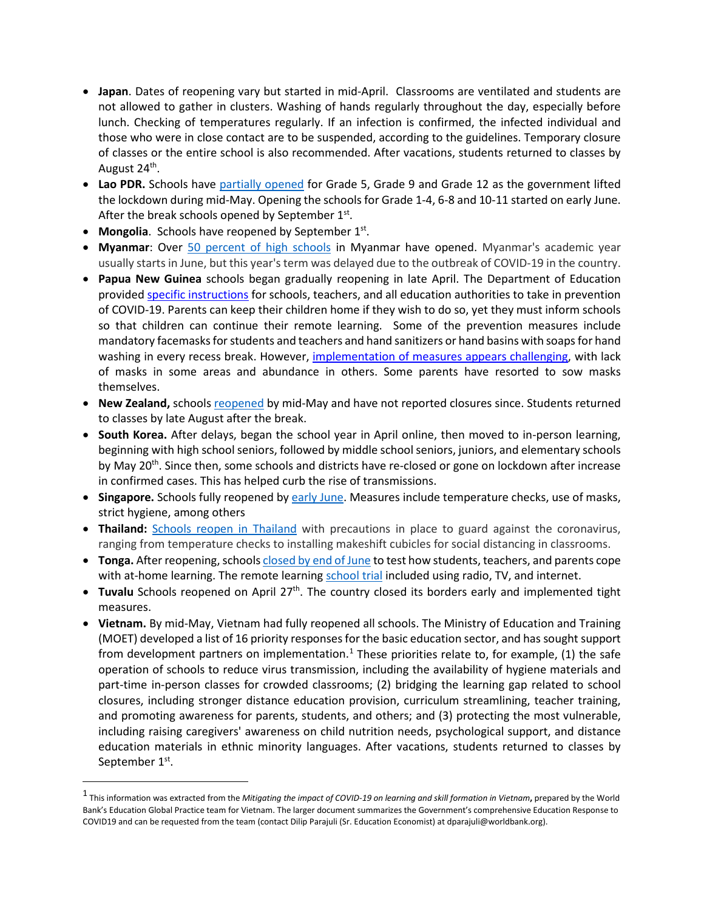- **Japan**. Dates of reopening vary but started in mid-April. Classrooms are ventilated and students are not allowed to gather in clusters. Washing of hands regularly throughout the day, especially before lunch. Checking of temperatures regularly. If an infection is confirmed, the infected individual and those who were in close contact are to be suspended, according to the guidelines. Temporary closure of classes or the entire school is also recommended. After vacations, students returned to classes by August 24<sup>th</sup>.
- **Lao PDR.** Schools have [partially opened](https://www.unicef.org/laos/stories/safely-back-school) for Grade 5, Grade 9 and Grade 12 as the government lifted the lockdown during mid-May. Opening the schools for Grade 1-4, 6-8 and 10-11 started on early June. After the break schools opened by September  $1^{st}$ .
- **Mongolia**. Schools have reopened by September 1<sup>st</sup>.
- **Myanmar**: Over [50 percent of high schools](https://www.tribuneindia.com/news/schools/over-50-high-schools-reopen-in-myanmar-126011) in Myanmar have opened. Myanmar's academic year usually starts in June, but this year's term was delayed due to the outbreak of COVID-19 in the country.
- **Papua New Guinea** schools began gradually reopening in late April. The Department of Education provided [specific instructions](https://covid19.info.gov.pg/files/28042020/Secretary%20Circular%20Instruction%205%20of%202020.pdf.pdf) for schools, teachers, and all education authorities to take in prevention of COVID-19. Parents can keep their children home if they wish to do so, yet they must inform schools so that children can continue their remote learning. Some of the prevention measures include mandatory facemasks for students and teachers and hand sanitizers or hand basins with soaps for hand washing in every recess break. However, [implementation of measures appears challenging,](https://www.rnz.co.nz/international/pacific-news/416597/png-schools-adjust-to-new-normal) with lack of masks in some areas and abundance in others. Some parents have resorted to sow masks themselves.
- New Zealand, schools [reopened](https://www.theguardian.com/world/2020/may/11/ardern-announces-new-zealand-will-reopen-schools-offices-and-restaurants-this-week) by mid-May and have not reported closures since. Students returned to classes by late August after the break.
- **South Korea.** After delays, began the school year in April online, then moved to in-person learning, beginning with high school seniors, followed by middle school seniors, juniors, and elementary schools by May  $20<sup>th</sup>$ . Since then, some schools and districts have re-closed or gone on lockdown after increase in confirmed cases. This has helped curb the rise of transmissions.
- **Singapore.** Schools fully reopened b[y early June.](https://www.usnews.com/news/world/articles/2020-06-02/schools-reopen-as-singapore-eases-lockdown-restrictions) Measures include temperature checks, use of masks, strict hygiene, among others
- **Thailand:** [Schools reopen in Thailand](https://www.reuters.com/article/us-health-coronavirus-thailand-school/schools-reopen-across-thailand-with-temperature-checks-masks-idUSKBN24253A) with precautions in place to guard against the coronavirus, ranging from temperature checks to installing makeshift cubicles for social distancing in classrooms.
- **Tonga.** After reopening, school[s closed by end of June](https://www.theguardian.com/world/2020/jun/17/coronavirus-in-the-pacific-weekly-briefing) to test how students, teachers, and parents cope with at-home learning. The remote learnin[g school trial](https://matangitonga.to/2020/06/30/students-enjoy-home-school-trial) included using radio, TV, and internet.
- **Tuvalu** Schools reopened on April 27<sup>th</sup>. The country closed its borders early and implemented tight measures.
- **Vietnam.** By mid-May, Vietnam had fully reopened all schools. The Ministry of Education and Training (MOET) developed a list of 16 priority responses for the basic education sector, and has sought support from development partners on implementation.<sup>[1](#page-9-0)</sup> These priorities relate to, for example, (1) the safe operation of schools to reduce virus transmission, including the availability of hygiene materials and part-time in-person classes for crowded classrooms; (2) bridging the learning gap related to school closures, including stronger distance education provision, curriculum streamlining, teacher training, and promoting awareness for parents, students, and others; and (3) protecting the most vulnerable, including raising caregivers' awareness on child nutrition needs, psychological support, and distance education materials in ethnic minority languages. After vacations, students returned to classes by September 1<sup>st</sup>.

<span id="page-9-0"></span><sup>1</sup> This information was extracted from the *Mitigating the impact of COVID-19 on learning and skill formation in Vietnam***,** prepared by the World Bank's Education Global Practice team for Vietnam. The larger document summarizes the Government's comprehensive Education Response to COVID19 and can be requested from the team (contact Dilip Parajuli (Sr. Education Economist) at dparajuli@worldbank.org).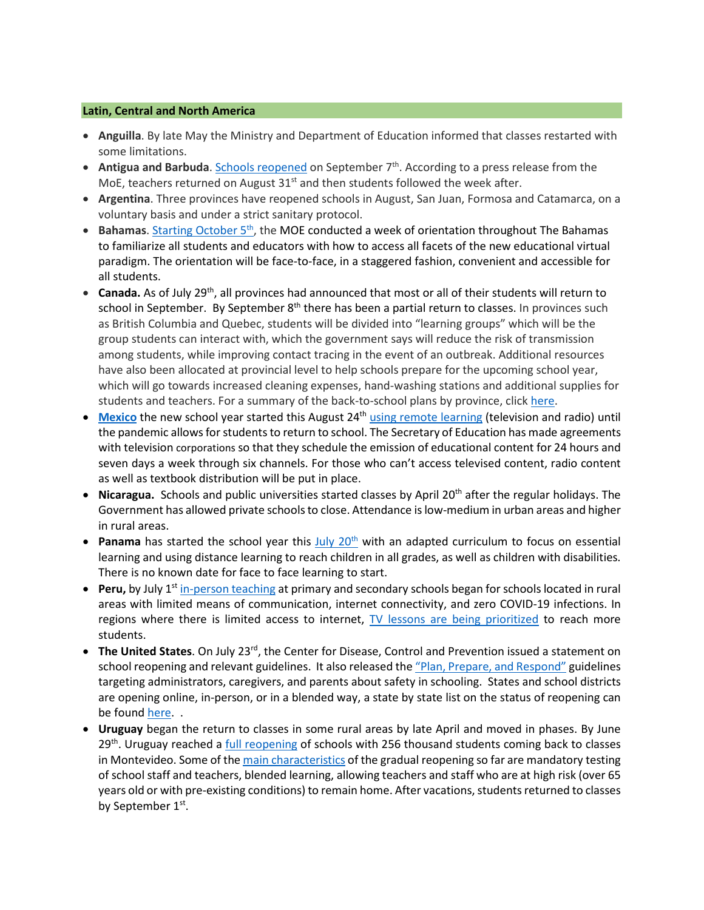#### **Latin, Central and North America**

- **Anguilla**. By late May the Ministry and Department of Education informed that classes restarted with some limitations.
- **Antigua and Barbuda**. [Schools reopened](https://268today.com/local-news/schools-in-antigua-and-barbuda-will-reopen-on-september-7/#:%7E:text=Education%20Michael%20Browne.-,Schools%20in%20Antigua%20and%20Barbuda%20will%20reopen%20on%20September%207,7.) on September 7<sup>th</sup>. According to a press release from the MoE, teachers returned on August  $31<sup>st</sup>$  and then students followed the week after.
- **Argentina**. Three provinces have reopened schools in August, San Juan, Formosa and Catamarca, on a voluntary basis and under a strict sanitary protocol.
- **Bahamas**. Starting October 5<sup>th</sup>, the MOE conducted a week of orientation throughout The Bahamas to familiarize all students and educators with how to access all facets of the new educational virtual paradigm. The orientation will be face-to-face, in a staggered fashion, convenient and accessible for all students.
- **Canada.** As of July 29th, all provinces had announced that most or all of their students will return to school in September. By September  $8<sup>th</sup>$  there has been a partial return to classes. In provinces such as British Columbia and Quebec, students will be divided into "learning groups" which will be the group students can interact with, which the government says will reduce the risk of transmission among students, while improving contact tracing in the event of an outbreak. Additional resources have also been allocated at provincial level to help schools prepare for the upcoming school year, which will go towards increased cleaning expenses, hand-washing stations and additional supplies for students and teachers. For a summary of the back-to-school plans by province, clic[k here.](https://www.ctvnews.ca/who-heads-back-to-class-in-september-a-look-at-school-reopenings-by-province-1.5042739)
- [Mexico](https://listindiario.com/las-mundiales/2020/08/03/629094/mexico-comenzara-el-nuevo-curso-escolar-a-distancia-el-24-de-agosto) the new school year started this August 24<sup>th</sup> [using remote learning](https://www.infobae.com/america/mexico/2020/08/13/sep-este-es-el-calendario-escolar-oficial-para-educacion-basica/#:%7E:text=El%20ciclo%20escolar%202020%2D2021,sin%20clases%20por%20labores%20administrativas.) (television and radio) until the pandemic allows for students to return to school. The Secretary of Education has made agreements with television corporations so that they schedule the emission of educational content for 24 hours and seven days a week through six channels. For those who can't access televised content, radio content as well as textbook distribution will be put in place.
- **Nicaragua.** Schools and public universities started classes by April 20<sup>th</sup> after the regular holidays. The Government has allowed private schools to close. Attendance is low-medium in urban areas and higher in rural areas.
- **Panama** has started the school year this July 20<sup>th</sup> with an adapted curriculum to focus on essential learning and using distance learning to reach children in all grades, as well as children with disabilities. There is no known date for face to face learning to start.
- **Peru,** by July 1<sup>st</sup> [in-person teaching](https://pe.usembassy.gov/covid-19-information/) at primary and secondary schools began for schools located in rural areas with limited means of communication, internet connectivity, and zero COVID-19 infections. In regions where there is limited access to internet,  $TV$  lessons are being prioritized to reach more students.
- The United States. On July 23<sup>rd</sup>, the Center for Disease, Control and Prevention issued a statement on school reopening and relevant guidelines. It also released th[e "Plan, Prepare, and Respond"](https://www.cdc.gov/coronavirus/2019-ncov/community/schools-childcare/index.html) guidelines targeting administrators, caregivers, and parents about safety in schooling. States and school districts are opening online, in-person, or in a blended way, a state by state list on the status of reopening can be found [here.](https://www.today.com/parents/when-will-school-open-here-s-state-state-list-t179718).
- **Uruguay** [began the return to classes](https://cnnespanol.cnn.com/video/escuelas-uruguay-normalidad-apertura-clases-adaptacion-perspectivas-buenos-aires-pkg-dario-klein/) in some rural areas by late April and moved in phases. By June  $29<sup>th</sup>$ . Uruguay reached a [full reopening](https://www.infobae.com/america/america-latina/2020/06/29/uruguay-completa-la-reapertura-de-las-escuelas-256-mil-alumnos-vuelven-a-clase-en-montevideo/) of schools with 256 thousand students coming back to classes in Montevideo. Some of th[e main characteristics](https://www.bbc.com/mundo/noticias-america-latina-53579960) of the gradual reopening so far are mandatory testing of school staff and teachers, blended learning, allowing teachers and staff who are at high risk (over 65 years old or with pre-existing conditions) to remain home. After vacations, students returned to classes by September 1<sup>st</sup>.